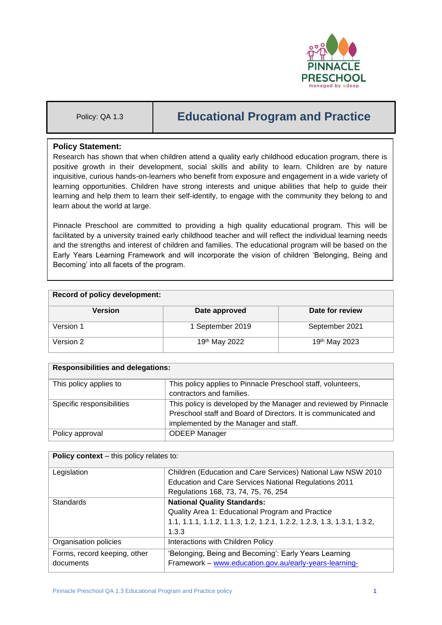

# Policy: QA 1.3 **Educational Program and Practice**

## **Policy Statement:**

Research has shown that when children attend a quality early childhood education program, there is positive growth in their development, social skills and ability to learn. Children are by nature inquisitive, curious hands-on-learners who benefit from exposure and engagement in a wide variety of learning opportunities. Children have strong interests and unique abilities that help to guide their learning and help them to learn their self-identify, to engage with the community they belong to and learn about the world at large.

Pinnacle Preschool are committed to providing a high quality educational program. This will be facilitated by a university trained early childhood teacher and will reflect the individual learning needs and the strengths and interest of children and families. The educational program will be based on the Early Years Learning Framework and will incorporate the vision of children 'Belonging, Being and Becoming' into all facets of the program.

#### **Record of policy development:**

| Version   | Date approved    | Date for review |
|-----------|------------------|-----------------|
| Version 1 | 1 September 2019 | September 2021  |
| Version 2 | 19th May 2022    | 19th May 2023   |

| <b>Responsibilities and delegations:</b> |                                                                  |  |
|------------------------------------------|------------------------------------------------------------------|--|
| This policy applies to                   | This policy applies to Pinnacle Preschool staff, volunteers,     |  |
|                                          | contractors and families.                                        |  |
| Specific responsibilities                | This policy is developed by the Manager and reviewed by Pinnacle |  |
|                                          | Preschool staff and Board of Directors. It is communicated and   |  |
|                                          | implemented by the Manager and staff.                            |  |
| Policy approval                          | <b>ODEEP Manager</b>                                             |  |

| <b>Policy context</b> – this policy relates to: |                                                                        |  |
|-------------------------------------------------|------------------------------------------------------------------------|--|
| Legislation                                     | Children (Education and Care Services) National Law NSW 2010           |  |
|                                                 | Education and Care Services National Regulations 2011                  |  |
|                                                 | Regulations 168, 73, 74, 75, 76, 254                                   |  |
| Standards                                       | <b>National Quality Standards:</b>                                     |  |
|                                                 | Quality Area 1: Educational Program and Practice                       |  |
|                                                 | 1.1, 1.1.1, 1.1.2, 1.1.3, 1.2, 1.2.1, 1.2.2, 1.2.3, 1.3, 1.3.1, 1.3.2, |  |
|                                                 | 1.3.3                                                                  |  |
| Organisation policies                           | Interactions with Children Policy                                      |  |
| Forms, record keeping, other                    | 'Belonging, Being and Becoming': Early Years Learning                  |  |
| documents                                       | Framework - www.education.gov.au/early-years-learning-                 |  |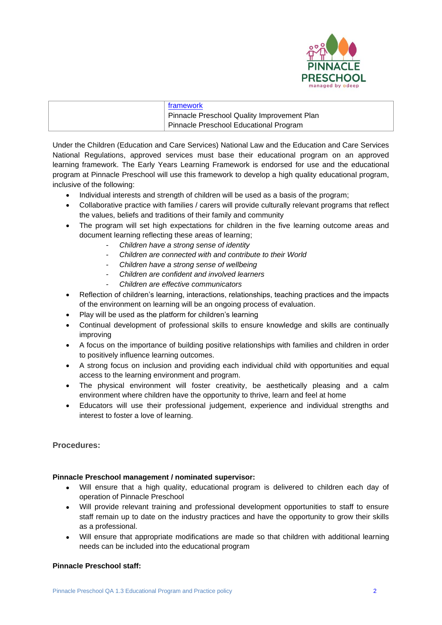

| framework<br>Pinnacle Preschool Quality Improvement Plan |
|----------------------------------------------------------|
| Pinnacle Preschool Educational Program                   |

Under the Children (Education and Care Services) National Law and the Education and Care Services National Regulations, approved services must base their educational program on an approved learning framework. The Early Years Learning Framework is endorsed for use and the educational program at Pinnacle Preschool will use this framework to develop a high quality educational program, inclusive of the following:

- Individual interests and strength of children will be used as a basis of the program;
- Collaborative practice with families / carers will provide culturally relevant programs that reflect the values, beliefs and traditions of their family and community
- The program will set high expectations for children in the five learning outcome areas and document learning reflecting these areas of learning;
	- *Children have a strong sense of identity*
	- *Children are connected with and contribute to their World*
	- *Children have a strong sense of wellbeing*
	- *Children are confident and involved learners*
	- *Children are effective communicators*
- Reflection of children's learning, interactions, relationships, teaching practices and the impacts of the environment on learning will be an ongoing process of evaluation.
- Play will be used as the platform for children's learning
- Continual development of professional skills to ensure knowledge and skills are continually improving
- A focus on the importance of building positive relationships with families and children in order to positively influence learning outcomes.
- A strong focus on inclusion and providing each individual child with opportunities and equal access to the learning environment and program.
- The physical environment will foster creativity, be aesthetically pleasing and a calm environment where children have the opportunity to thrive, learn and feel at home
- Educators will use their professional judgement, experience and individual strengths and interest to foster a love of learning.

**Procedures:**

#### **Pinnacle Preschool management / nominated supervisor:**

- Will ensure that a high quality, educational program is delivered to children each day of operation of Pinnacle Preschool
- Will provide relevant training and professional development opportunities to staff to ensure staff remain up to date on the industry practices and have the opportunity to grow their skills as a professional.
- Will ensure that appropriate modifications are made so that children with additional learning needs can be included into the educational program

## **Pinnacle Preschool staff:**